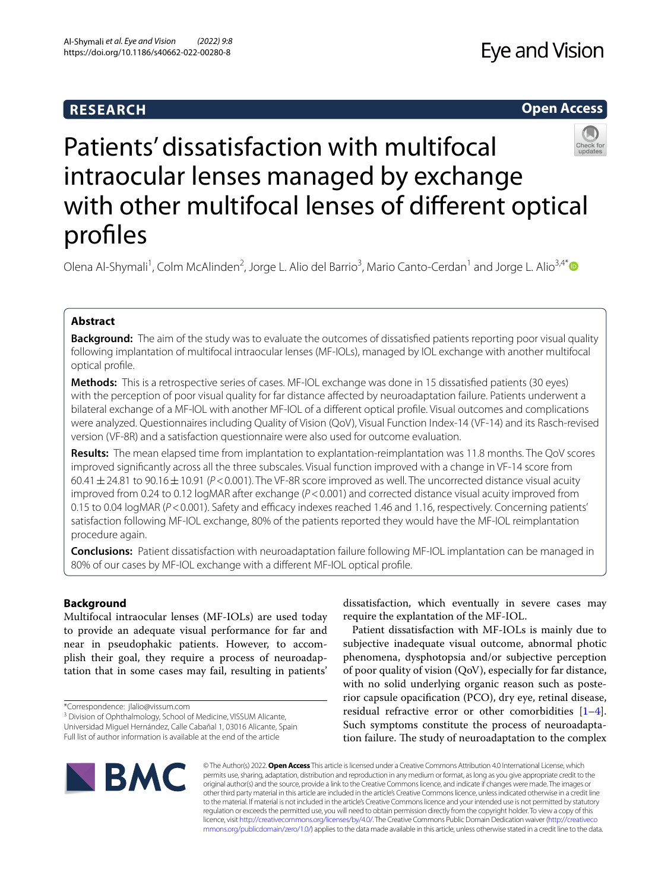# **RESEARCH**

# **Open Access**



# Patients' dissatisfaction with multifocal intraocular lenses managed by exchange with other multifocal lenses of diferent optical profles

Olena Al-Shymali<sup>1</sup>, Colm McAlinden<sup>2</sup>, Jorge L. Alio del Barrio<sup>3</sup>, Mario Canto-Cerdan<sup>1</sup> and Jorge L. Alio<sup>3,4[\\*](http://orcid.org/0000-0002-8082-1751)</sup>

# **Abstract**

**Background:** The aim of the study was to evaluate the outcomes of dissatisfed patients reporting poor visual quality following implantation of multifocal intraocular lenses (MF-IOLs), managed by IOL exchange with another multifocal optical profle.

**Methods:** This is a retrospective series of cases. MF-IOL exchange was done in 15 dissatisfed patients (30 eyes) with the perception of poor visual quality for far distance afected by neuroadaptation failure. Patients underwent a bilateral exchange of a MF-IOL with another MF-IOL of a diferent optical profle. Visual outcomes and complications were analyzed. Questionnaires including Quality of Vision (QoV), Visual Function Index-14 (VF-14) and its Rasch-revised version (VF-8R) and a satisfaction questionnaire were also used for outcome evaluation.

**Results:** The mean elapsed time from implantation to explantation-reimplantation was 11.8 months. The QoV scores improved signifcantly across all the three subscales. Visual function improved with a change in VF-14 score from 60.41±24.81 to 90.16±10.91 (*P*<0.001). The VF-8R score improved as well. The uncorrected distance visual acuity improved from 0.24 to 0.12 logMAR after exchange ( $P < 0.001$ ) and corrected distance visual acuity improved from 0.15 to 0.04 logMAR (*P*<0.001). Safety and efficacy indexes reached 1.46 and 1.16, respectively. Concerning patients' satisfaction following MF-IOL exchange, 80% of the patients reported they would have the MF-IOL reimplantation procedure again.

**Conclusions:** Patient dissatisfaction with neuroadaptation failure following MF-IOL implantation can be managed in 80% of our cases by MF-IOL exchange with a diferent MF-IOL optical profle.

# **Background**

Multifocal intraocular lenses (MF-IOLs) are used today to provide an adequate visual performance for far and near in pseudophakic patients. However, to accomplish their goal, they require a process of neuroadaptation that in some cases may fail, resulting in patients'

<sup>3</sup> Division of Ophthalmology, School of Medicine, VISSUM Alicante, Universidad Miguel Hernández, Calle Cabañal 1, 03016 Alicante, Spain Full list of author information is available at the end of the article

dissatisfaction, which eventually in severe cases may require the explantation of the MF-IOL.

Patient dissatisfaction with MF-IOLs is mainly due to subjective inadequate visual outcome, abnormal photic phenomena, dysphotopsia and/or subjective perception of poor quality of vision (QoV), especially for far distance, with no solid underlying organic reason such as posterior capsule opacifcation (PCO), dry eye, retinal disease, residual refractive error or other comorbidities [\[1](#page-9-0)[–4](#page-9-1)]. Such symptoms constitute the process of neuroadaptation failure. The study of neuroadaptation to the complex



© The Author(s) 2022. **Open Access** This article is licensed under a Creative Commons Attribution 4.0 International License, which permits use, sharing, adaptation, distribution and reproduction in any medium or format, as long as you give appropriate credit to the original author(s) and the source, provide a link to the Creative Commons licence, and indicate if changes were made. The images or other third party material in this article are included in the article's Creative Commons licence, unless indicated otherwise in a credit line to the material. If material is not included in the article's Creative Commons licence and your intended use is not permitted by statutory regulation or exceeds the permitted use, you will need to obtain permission directly from the copyright holder. To view a copy of this licence, visit [http://creativecommons.org/licenses/by/4.0/.](http://creativecommons.org/licenses/by/4.0/) The Creative Commons Public Domain Dedication waiver ([http://creativeco](http://creativecommons.org/publicdomain/zero/1.0/) [mmons.org/publicdomain/zero/1.0/](http://creativecommons.org/publicdomain/zero/1.0/)) applies to the data made available in this article, unless otherwise stated in a credit line to the data.

<sup>\*</sup>Correspondence: jlalio@vissum.com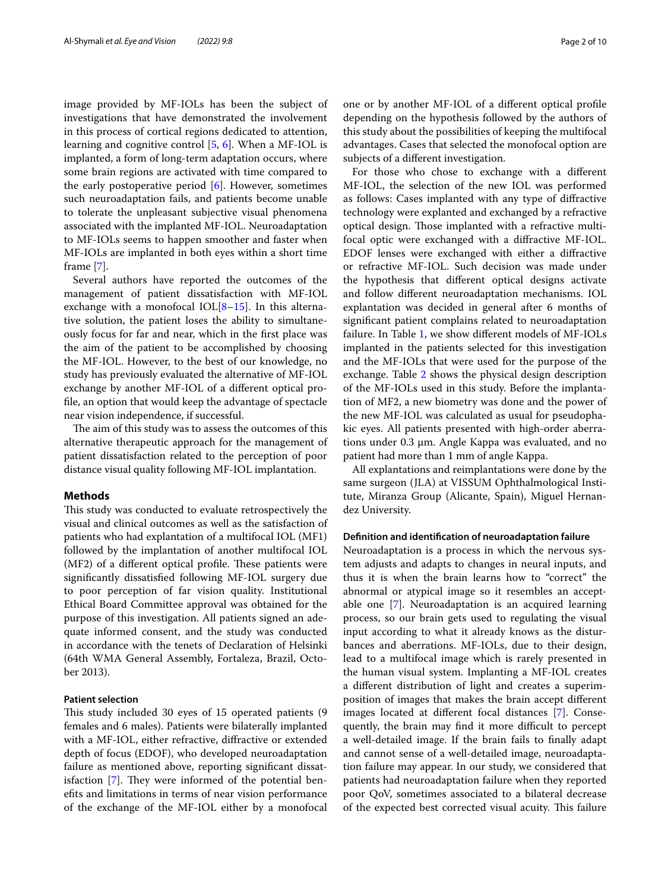image provided by MF-IOLs has been the subject of investigations that have demonstrated the involvement in this process of cortical regions dedicated to attention, learning and cognitive control [\[5](#page-9-2), [6\]](#page-9-3). When a MF-IOL is implanted, a form of long-term adaptation occurs, where some brain regions are activated with time compared to the early postoperative period [\[6\]](#page-9-3). However, sometimes such neuroadaptation fails, and patients become unable to tolerate the unpleasant subjective visual phenomena associated with the implanted MF-IOL. Neuroadaptation to MF-IOLs seems to happen smoother and faster when MF-IOLs are implanted in both eyes within a short time frame [\[7](#page-9-4)].

Several authors have reported the outcomes of the management of patient dissatisfaction with MF-IOL exchange with a monofocal IOL $[8-15]$  $[8-15]$  $[8-15]$ . In this alternative solution, the patient loses the ability to simultaneously focus for far and near, which in the frst place was the aim of the patient to be accomplished by choosing the MF-IOL. However, to the best of our knowledge, no study has previously evaluated the alternative of MF-IOL exchange by another MF-IOL of a diferent optical profle, an option that would keep the advantage of spectacle near vision independence, if successful.

The aim of this study was to assess the outcomes of this alternative therapeutic approach for the management of patient dissatisfaction related to the perception of poor distance visual quality following MF-IOL implantation.

# **Methods**

This study was conducted to evaluate retrospectively the visual and clinical outcomes as well as the satisfaction of patients who had explantation of a multifocal IOL (MF1) followed by the implantation of another multifocal IOL (MF2) of a different optical profile. These patients were signifcantly dissatisfed following MF-IOL surgery due to poor perception of far vision quality. Institutional Ethical Board Committee approval was obtained for the purpose of this investigation. All patients signed an adequate informed consent, and the study was conducted in accordance with the tenets of Declaration of Helsinki (64th WMA General Assembly, Fortaleza, Brazil, October 2013).

# **Patient selection**

This study included 30 eyes of 15 operated patients (9 females and 6 males). Patients were bilaterally implanted with a MF-IOL, either refractive, difractive or extended depth of focus (EDOF), who developed neuroadaptation failure as mentioned above, reporting signifcant dissatisfaction  $[7]$  $[7]$ . They were informed of the potential benefts and limitations in terms of near vision performance of the exchange of the MF-IOL either by a monofocal one or by another MF-IOL of a diferent optical profle depending on the hypothesis followed by the authors of this study about the possibilities of keeping the multifocal advantages. Cases that selected the monofocal option are subjects of a diferent investigation.

For those who chose to exchange with a diferent MF-IOL, the selection of the new IOL was performed as follows: Cases implanted with any type of difractive technology were explanted and exchanged by a refractive optical design. Those implanted with a refractive multifocal optic were exchanged with a difractive MF-IOL. EDOF lenses were exchanged with either a difractive or refractive MF-IOL. Such decision was made under the hypothesis that diferent optical designs activate and follow diferent neuroadaptation mechanisms. IOL explantation was decided in general after 6 months of signifcant patient complains related to neuroadaptation failure. In Table [1,](#page-2-0) we show diferent models of MF-IOLs implanted in the patients selected for this investigation and the MF-IOLs that were used for the purpose of the exchange. Table [2](#page-3-0) shows the physical design description of the MF-IOLs used in this study. Before the implantation of MF2, a new biometry was done and the power of the new MF-IOL was calculated as usual for pseudophakic eyes. All patients presented with high-order aberrations under 0.3 µm. Angle Kappa was evaluated, and no patient had more than 1 mm of angle Kappa.

All explantations and reimplantations were done by the same surgeon (JLA) at VISSUM Ophthalmological Institute, Miranza Group (Alicante, Spain), Miguel Hernandez University.

## **Defnition and identifcation of neuroadaptation failure**

Neuroadaptation is a process in which the nervous system adjusts and adapts to changes in neural inputs, and thus it is when the brain learns how to "correct" the abnormal or atypical image so it resembles an acceptable one [\[7\]](#page-9-4). Neuroadaptation is an acquired learning process, so our brain gets used to regulating the visual input according to what it already knows as the disturbances and aberrations. MF-IOLs, due to their design, lead to a multifocal image which is rarely presented in the human visual system. Implanting a MF-IOL creates a diferent distribution of light and creates a superimposition of images that makes the brain accept diferent images located at diferent focal distances [\[7](#page-9-4)]. Consequently, the brain may find it more difficult to percept a well-detailed image. If the brain fails to fnally adapt and cannot sense of a well-detailed image, neuroadaptation failure may appear. In our study, we considered that patients had neuroadaptation failure when they reported poor QoV, sometimes associated to a bilateral decrease of the expected best corrected visual acuity. This failure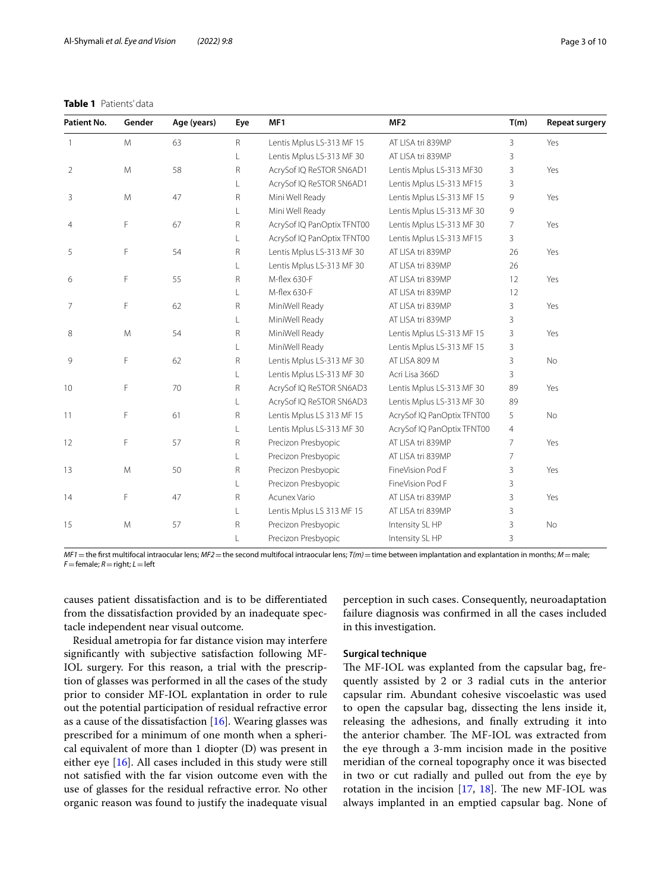# <span id="page-2-0"></span>**Table 1** Patients' data

| Patient No. | Gender | Age (years) | Eye | MF1                        | MF <sub>2</sub>            | T(m)           | <b>Repeat surgery</b> |
|-------------|--------|-------------|-----|----------------------------|----------------------------|----------------|-----------------------|
| 1           | M      | 63          | R   | Lentis Mplus LS-313 MF 15  | AT LISA tri 839MP          | 3              | Yes                   |
|             |        |             |     | Lentis Mplus LS-313 MF 30  | AT LISA tri 839MP          | 3              |                       |
| 2           | M      | 58          | R   | AcrySof IQ ReSTOR SN6AD1   | Lentis Mplus LS-313 MF30   | 3              | Yes                   |
|             |        |             |     | AcrySof IQ ReSTOR SN6AD1   | Lentis Mplus LS-313 MF15   | 3              |                       |
| 3           | M      | 47          | R   | Mini Well Ready            | Lentis Mplus LS-313 MF 15  | 9              | Yes                   |
|             |        |             | L   | Mini Well Ready            | Lentis Mplus LS-313 MF 30  | 9              |                       |
| 4           | F      | 67          | R   | AcrySof IQ PanOptix TFNT00 | Lentis Mplus LS-313 MF 30  | $\overline{7}$ | Yes                   |
|             |        |             | L   | AcrySof IQ PanOptix TFNT00 | Lentis Mplus LS-313 MF15   | 3              |                       |
| 5           | F      | 54          | R   | Lentis Mplus LS-313 MF 30  | AT LISA tri 839MP          | 26             | Yes                   |
|             |        |             | L   | Lentis Mplus LS-313 MF 30  | AT LISA tri 839MP          | 26             |                       |
| 6           | F      | 55          | R   | M-flex 630-F               | AT LISA tri 839MP          | 12             | Yes                   |
|             |        |             | L   | M-flex 630-F               | AT LISA tri 839MP          | 12             |                       |
| 7           | F      | 62          | R   | MiniWell Ready             | AT LISA tri 839MP          | 3              | Yes                   |
|             |        |             | L   | MiniWell Ready             | AT LISA tri 839MP          | 3              |                       |
| 8           | M      | 54          | R   | MiniWell Ready             | Lentis Mplus LS-313 MF 15  | 3              | Yes                   |
|             |        |             | L   | MiniWell Ready             | Lentis Mplus LS-313 MF 15  | 3              |                       |
| 9           | F      | 62          | R   | Lentis Mplus LS-313 MF 30  | AT LISA 809 M              | 3              | No                    |
|             |        |             | L   | Lentis Mplus LS-313 MF 30  | Acri Lisa 366D             | 3              |                       |
| 10          | F      | 70          | R   | AcrySof IQ ReSTOR SN6AD3   | Lentis Mplus LS-313 MF 30  | 89             | Yes                   |
|             |        |             | L   | AcrySof IQ ReSTOR SN6AD3   | Lentis Mplus LS-313 MF 30  | 89             |                       |
| 11          | F      | 61          | R   | Lentis Mplus LS 313 MF 15  | AcrySof IQ PanOptix TFNT00 | 5              | No                    |
|             |        |             | L   | Lentis Mplus LS-313 MF 30  | AcrySof IQ PanOptix TFNT00 | 4              |                       |
| 12          | F      | 57          | R   | Precizon Presbyopic        | AT LISA tri 839MP          | $\overline{7}$ | Yes                   |
|             |        |             | L   | Precizon Presbyopic        | AT LISA tri 839MP          | $\overline{7}$ |                       |
| 13          | M      | 50          | R   | Precizon Presbyopic        | FineVision Pod F           | 3              | Yes                   |
|             |        |             | L   | Precizon Presbyopic        | FineVision Pod F           | 3              |                       |
| 14          | F      | 47          | R   | Acunex Vario               | AT LISA tri 839MP          | 3              | Yes                   |
|             |        |             | L   | Lentis Mplus LS 313 MF 15  | AT LISA tri 839MP          | 3              |                       |
| 15          | M      | 57          | R   | Precizon Presbyopic        | Intensity SL HP            | 3              | No                    |
|             |        |             |     | Precizon Presbyopic        | Intensity SL HP            | 3              |                       |

*MF1*=the frst multifocal intraocular lens; *MF2*=the second multifocal intraocular lens; *T(m)*=time between implantation and explantation in months; *M*=male; *F*=female; *R*=right; *L*=left

causes patient dissatisfaction and is to be diferentiated from the dissatisfaction provided by an inadequate spectacle independent near visual outcome.

Residual ametropia for far distance vision may interfere signifcantly with subjective satisfaction following MF-IOL surgery. For this reason, a trial with the prescription of glasses was performed in all the cases of the study prior to consider MF-IOL explantation in order to rule out the potential participation of residual refractive error as a cause of the dissatisfaction  $[16]$  $[16]$  $[16]$ . Wearing glasses was prescribed for a minimum of one month when a spherical equivalent of more than 1 diopter (D) was present in either eye [\[16](#page-9-7)]. All cases included in this study were still not satisfed with the far vision outcome even with the use of glasses for the residual refractive error. No other organic reason was found to justify the inadequate visual perception in such cases. Consequently, neuroadaptation failure diagnosis was confrmed in all the cases included in this investigation.

# **Surgical technique**

The MF-IOL was explanted from the capsular bag, frequently assisted by 2 or 3 radial cuts in the anterior capsular rim. Abundant cohesive viscoelastic was used to open the capsular bag, dissecting the lens inside it, releasing the adhesions, and fnally extruding it into the anterior chamber. The MF-IOL was extracted from the eye through a 3-mm incision made in the positive meridian of the corneal topography once it was bisected in two or cut radially and pulled out from the eye by rotation in the incision  $[17, 18]$  $[17, 18]$  $[17, 18]$  $[17, 18]$ . The new MF-IOL was always implanted in an emptied capsular bag. None of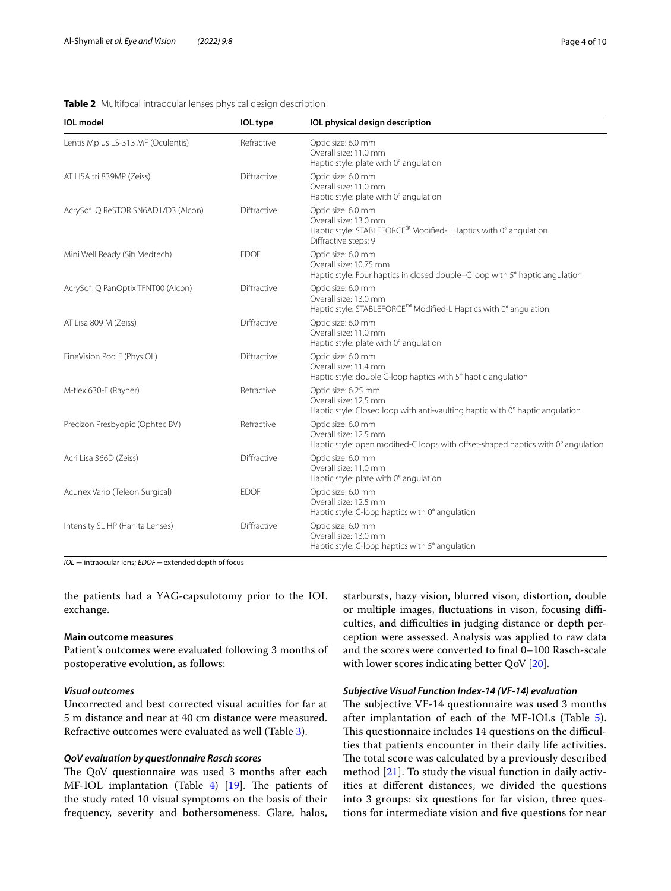<span id="page-3-0"></span>

| <b>IOL</b> model                    | <b>IOL</b> type | IOL physical design description                                                                                                         |
|-------------------------------------|-----------------|-----------------------------------------------------------------------------------------------------------------------------------------|
| Lentis Mplus LS-313 MF (Oculentis)  | Refractive      | Optic size: 6.0 mm<br>Overall size: 11.0 mm<br>Haptic style: plate with 0° angulation                                                   |
| AT LISA tri 839MP (Zeiss)           | Diffractive     | Optic size: 6.0 mm<br>Overall size: 11.0 mm<br>Haptic style: plate with 0° angulation                                                   |
| AcrySof IQ ReSTOR SN6AD1/D3 (Alcon) | Diffractive     | Optic size: 6.0 mm<br>Overall size: 13.0 mm<br>Haptic style: STABLEFORCE® Modified-L Haptics with 0° angulation<br>Diffractive steps: 9 |
| Mini Well Ready (Sifi Medtech)      | <b>EDOF</b>     | Optic size: 6.0 mm<br>Overall size: 10.75 mm<br>Haptic style: Four haptics in closed double–C loop with 5° haptic angulation            |
| AcrySof IQ PanOptix TFNT00 (Alcon)  | Diffractive     | Optic size: 6.0 mm<br>Overall size: 13.0 mm<br>Haptic style: STABLEFORCE™ Modified-L Haptics with 0° angulation                         |
| AT Lisa 809 M (Zeiss)               | Diffractive     | Optic size: 6.0 mm<br>Overall size: 11.0 mm<br>Haptic style: plate with 0° angulation                                                   |
| FineVision Pod F (PhysIOL)          | Diffractive     | Optic size: 6.0 mm<br>Overall size: 11.4 mm<br>Haptic style: double C-loop haptics with 5° haptic angulation                            |
| M-flex 630-F (Rayner)               | Refractive      | Optic size: 6.25 mm<br>Overall size: 12.5 mm<br>Haptic style: Closed loop with anti-vaulting haptic with 0° haptic angulation           |
| Precizon Presbyopic (Ophtec BV)     | Refractive      | Optic size: 6.0 mm<br>Overall size: 12.5 mm<br>Haptic style: open modified-C loops with offset-shaped haptics with 0° angulation        |
| Acri Lisa 366D (Zeiss)              | Diffractive     | Optic size: 6.0 mm<br>Overall size: 11.0 mm<br>Haptic style: plate with 0° angulation                                                   |
| Acunex Vario (Teleon Surgical)      | <b>EDOF</b>     | Optic size: 6.0 mm<br>Overall size: 12.5 mm<br>Haptic style: C-loop haptics with 0° angulation                                          |
| Intensity SL HP (Hanita Lenses)     | Diffractive     | Optic size: 6.0 mm<br>Overall size: 13.0 mm<br>Haptic style: C-loop haptics with 5° angulation                                          |

*IOL* = intraocular lens; *EDOF*=extended depth of focus

the patients had a YAG-capsulotomy prior to the IOL exchange.

# **Main outcome measures**

Patient's outcomes were evaluated following 3 months of postoperative evolution, as follows:

# *Visual outcomes*

Uncorrected and best corrected visual acuities for far at 5 m distance and near at 40 cm distance were measured. Refractive outcomes were evaluated as well (Table [3\)](#page-4-0).

# *QoV evaluation by questionnaire Rasch scores*

The QoV questionnaire was used 3 months after each MF-IOL implantation (Table [4\)](#page-4-1)  $[19]$  $[19]$ . The patients of the study rated 10 visual symptoms on the basis of their frequency, severity and bothersomeness. Glare, halos, starbursts, hazy vision, blurred vison, distortion, double or multiple images, fluctuations in vison, focusing difficulties, and difficulties in judging distance or depth perception were assessed. Analysis was applied to raw data and the scores were converted to fnal 0–100 Rasch-scale with lower scores indicating better QoV [[20](#page-9-11)].

### *Subjective Visual Function Index‑14 (VF‑14) evaluation*

The subjective VF-14 questionnaire was used 3 months after implantation of each of the MF-IOLs (Table [5](#page-4-2)). This questionnaire includes 14 questions on the difficulties that patients encounter in their daily life activities. The total score was calculated by a previously described method [\[21](#page-9-12)]. To study the visual function in daily activities at diferent distances, we divided the questions into 3 groups: six questions for far vision, three questions for intermediate vision and fve questions for near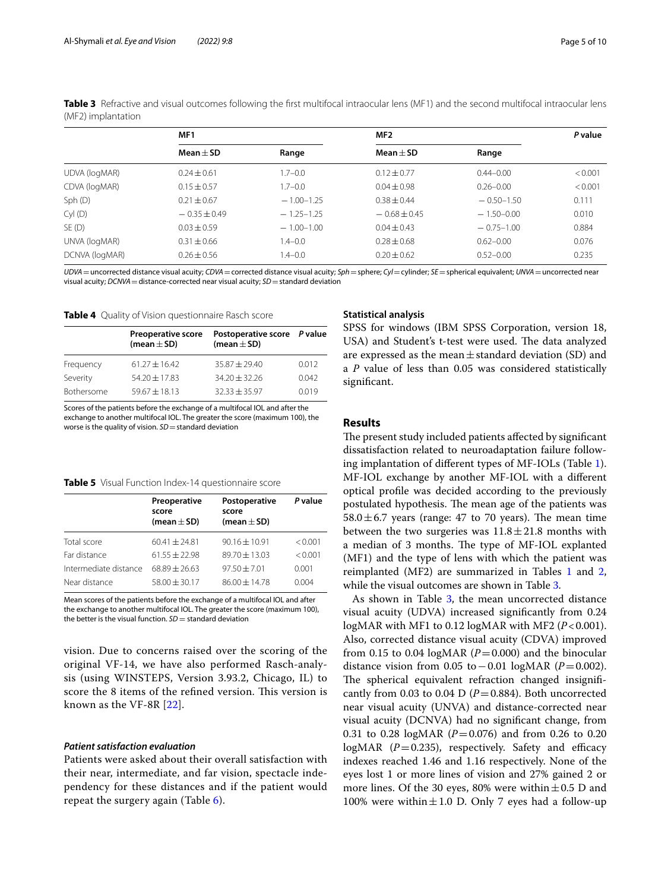|                | MF1              |                | MF2              |                | P value |  |
|----------------|------------------|----------------|------------------|----------------|---------|--|
|                | $Mean + SD$      | Range          | Mean $\pm$ SD    | Range          |         |  |
| UDVA (logMAR)  | $0.24 \pm 0.61$  | $1.7 - 0.0$    | $0.12 \pm 0.77$  | $0.44 - 0.00$  | < 0.001 |  |
| CDVA (logMAR)  | $0.15 \pm 0.57$  | $1.7 - 0.0$    | $0.04 \pm 0.98$  | $0.26 - 0.00$  | < 0.001 |  |
| Sph(D)         | $0.21 \pm 0.67$  | $-1.00 - 1.25$ | $0.38 + 0.44$    | $-0.50 - 1.50$ | 0.111   |  |
| $Cyl$ $(D)$    | $-0.35 \pm 0.49$ | $-1.25-1.25$   | $-0.68 \pm 0.45$ | $-1.50 - 0.00$ | 0.010   |  |
| SE(D)          | $0.03 + 0.59$    | $-1.00 - 1.00$ | $0.04 \pm 0.43$  | $-0.75 - 1.00$ | 0.884   |  |
| UNVA (logMAR)  | $0.31 \pm 0.66$  | $1.4 - 0.0$    | $0.28 \pm 0.68$  | $0.62 - 0.00$  | 0.076   |  |
| DCNVA (logMAR) | $0.26 \pm 0.56$  | $1.4 - 0.0$    | $0.20 \pm 0.62$  | $0.52 - 0.00$  | 0.235   |  |
|                |                  |                |                  |                |         |  |

<span id="page-4-0"></span>**Table 3** Refractive and visual outcomes following the first multifocal intraocular lens (MF1) and the second multifocal intraocular lens (MF2) implantation

*UDVA*=uncorrected distance visual acuity; *CDVA*=corrected distance visual acuity; *Sph*=sphere; *Cyl*=cylinder; *SE*=spherical equivalent; *UNVA*=uncorrected near visual acuity; *DCNVA*=distance-corrected near visual acuity; *SD*=standard deviation

# <span id="page-4-1"></span>**Table 4** Quality of Vision questionnaire Rasch score

|            | <b>Preoperative score</b><br>(mean $\pm$ SD) | Postoperative score P value<br>(mean $\pm$ SD) |       |
|------------|----------------------------------------------|------------------------------------------------|-------|
| Frequency  | $61.27 + 16.42$                              | $35.87 + 29.40$                                | 0.012 |
| Severity   | $54.20 + 17.83$                              | $34.20 + 32.26$                                | 0.042 |
| Bothersome | $59.67 + 18.13$                              | $32.33 + 35.97$                                | 0.019 |

Scores of the patients before the exchange of a multifocal IOL and after the exchange to another multifocal IOL. The greater the score (maximum 100), the worse is the quality of vision. *SD* = standard deviation

#### <span id="page-4-2"></span>**Table 5** Visual Function Index-14 questionnaire score

|                       | Preoperative<br>score<br>(mean $\pm$ SD) | Postoperative<br>score<br>(mean $\pm$ SD) | P value |
|-----------------------|------------------------------------------|-------------------------------------------|---------|
| Total score           | $60.41 + 24.81$                          | $90.16 \pm 10.91$                         | < 0.001 |
| Far distance          | $61.55 + 22.98$                          | $89.70 \pm 13.03$                         | < 0.001 |
| Intermediate distance | $68.89 + 26.63$                          | $97.50 + 7.01$                            | 0.001   |
| Near distance         | $58.00 + 30.17$                          | $86.00 + 14.78$                           | 0.004   |

Mean scores of the patients before the exchange of a multifocal IOL and after the exchange to another multifocal IOL. The greater the score (maximum 100), the better is the visual function. *SD* = standard deviation

vision. Due to concerns raised over the scoring of the original VF-14, we have also performed Rasch-analysis (using WINSTEPS, Version 3.93.2, Chicago, IL) to score the 8 items of the refined version. This version is known as the VF-8R [[22](#page-9-13)].

# *Patient satisfaction evaluation*

Patients were asked about their overall satisfaction with their near, intermediate, and far vision, spectacle independency for these distances and if the patient would repeat the surgery again (Table [6](#page-5-0)).

#### **Statistical analysis**

SPSS for windows (IBM SPSS Corporation, version 18, USA) and Student's t-test were used. The data analyzed are expressed as the mean $\pm$ standard deviation (SD) and a *P* value of less than 0.05 was considered statistically signifcant.

# **Results**

The present study included patients affected by significant dissatisfaction related to neuroadaptation failure following implantation of diferent types of MF-IOLs (Table [1](#page-2-0)). MF-IOL exchange by another MF-IOL with a diferent optical profle was decided according to the previously postulated hypothesis. The mean age of the patients was  $58.0 \pm 6.7$  years (range: 47 to 70 years). The mean time between the two surgeries was  $11.8 \pm 21.8$  months with a median of 3 months. The type of MF-IOL explanted (MF1) and the type of lens with which the patient was reimplanted (MF2) are summarized in Tables [1](#page-2-0) and [2](#page-3-0), while the visual outcomes are shown in Table [3.](#page-4-0)

As shown in Table [3](#page-4-0), the mean uncorrected distance visual acuity (UDVA) increased signifcantly from 0.24 logMAR with MF1 to 0.12 logMAR with MF2 (*P*<0.001). Also, corrected distance visual acuity (CDVA) improved from 0.15 to 0.04 logMAR  $(P=0.000)$  and the binocular distance vision from 0.05 to−0.01 logMAR (*P*=0.002). The spherical equivalent refraction changed insignificantly from 0.03 to 0.04 D ( $P = 0.884$ ). Both uncorrected near visual acuity (UNVA) and distance-corrected near visual acuity (DCNVA) had no signifcant change, from 0.31 to 0.28 logMAR (*P*=0.076) and from 0.26 to 0.20  $logMAR$  ( $P=0.235$ ), respectively. Safety and efficacy indexes reached 1.46 and 1.16 respectively. None of the eyes lost 1 or more lines of vision and 27% gained 2 or more lines. Of the 30 eyes, 80% were within $\pm$ 0.5 D and 100% were within $\pm 1.0$  D. Only 7 eyes had a follow-up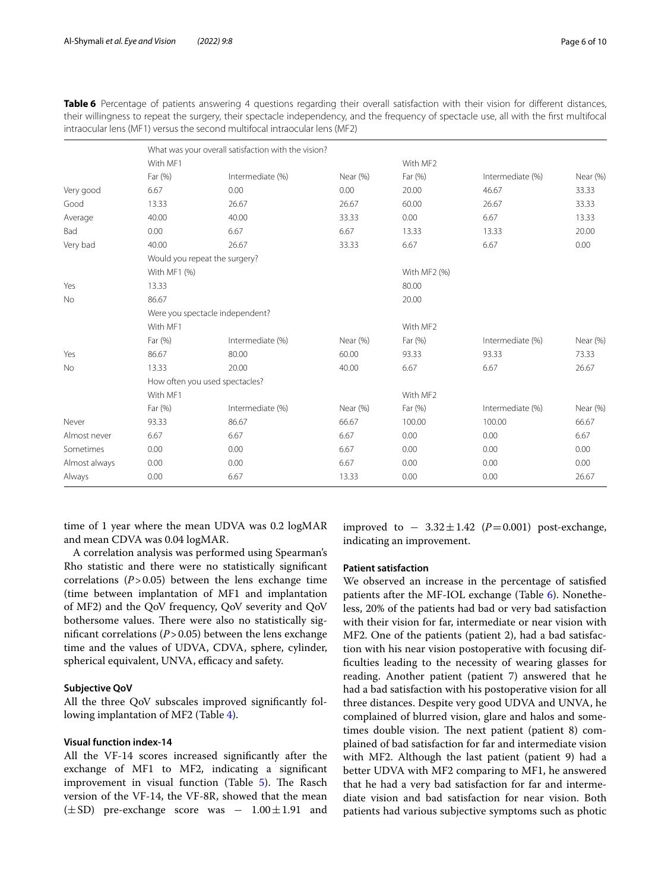|               | What was your overall satisfaction with the vision? |                               |          |              |                  |          |  |  |
|---------------|-----------------------------------------------------|-------------------------------|----------|--------------|------------------|----------|--|--|
|               | With MF1                                            |                               |          | With MF2     |                  |          |  |  |
|               | Far (%)                                             | Intermediate (%)              | Near (%) | Far (%)      | Intermediate (%) | Near (%) |  |  |
| Very good     | 6.67                                                | 0.00                          | 0.00     | 20.00        | 46.67            | 33.33    |  |  |
| Good          | 13.33                                               | 26.67                         | 26.67    | 60.00        | 26.67            | 33.33    |  |  |
| Average       | 40.00                                               | 40.00                         | 33.33    | 0.00         | 6.67             | 13.33    |  |  |
| Bad           | 0.00                                                | 6.67                          | 6.67     | 13.33        | 13.33            | 20.00    |  |  |
| Very bad      | 40.00                                               | 26.67                         | 33.33    | 6.67         | 6.67             | 0.00     |  |  |
|               |                                                     | Would you repeat the surgery? |          |              |                  |          |  |  |
|               | With MF1 (%)                                        |                               |          | With MF2 (%) |                  |          |  |  |
| Yes           | 13.33                                               |                               |          | 80.00        |                  |          |  |  |
| <b>No</b>     | 86.67                                               |                               |          | 20.00        |                  |          |  |  |
|               | Were you spectacle independent?                     |                               |          |              |                  |          |  |  |
|               | With MF1                                            |                               |          | With MF2     |                  |          |  |  |
|               | Far (%)                                             | Intermediate (%)              | Near (%) | Far (%)      | Intermediate (%) | Near (%) |  |  |
| Yes           | 86.67                                               | 80.00                         | 60.00    | 93.33        | 93.33            | 73.33    |  |  |
| <b>No</b>     | 13.33                                               | 20.00                         | 40.00    | 6.67         | 6.67             | 26.67    |  |  |
|               | How often you used spectacles?                      |                               |          |              |                  |          |  |  |
|               | With MF1                                            |                               | With MF2 |              |                  |          |  |  |
|               | Far (%)                                             | Intermediate (%)              | Near (%) | Far (%)      | Intermediate (%) | Near (%) |  |  |
| Never         | 93.33                                               | 86.67                         | 66.67    | 100.00       | 100.00           | 66.67    |  |  |
| Almost never  | 6.67                                                | 6.67                          | 6.67     | 0.00         | 0.00             | 6.67     |  |  |
| Sometimes     | 0.00                                                | 0.00                          | 6.67     | 0.00         | 0.00             | 0.00     |  |  |
| Almost always | 0.00                                                | 0.00                          | 6.67     | 0.00         | 0.00             | 0.00     |  |  |
| Always        | 0.00                                                | 6.67                          | 13.33    | 0.00         | 0.00             | 26.67    |  |  |

<span id="page-5-0"></span>**Table 6** Percentage of patients answering 4 questions regarding their overall satisfaction with their vision for different distances, their willingness to repeat the surgery, their spectacle independency, and the frequency of spectacle use, all with the frst multifocal intraocular lens (MF1) versus the second multifocal intraocular lens (MF2)

time of 1 year where the mean UDVA was 0.2 logMAR and mean CDVA was 0.04 logMAR.

A correlation analysis was performed using Spearman's Rho statistic and there were no statistically signifcant correlations  $(P > 0.05)$  between the lens exchange time (time between implantation of MF1 and implantation of MF2) and the QoV frequency, QoV severity and QoV bothersome values. There were also no statistically significant correlations  $(P > 0.05)$  between the lens exchange time and the values of UDVA, CDVA, sphere, cylinder, spherical equivalent, UNVA, efficacy and safety.

# **Subjective QoV**

All the three QoV subscales improved signifcantly following implantation of MF2 (Table [4](#page-4-1)).

# **Visual function index‑14**

All the VF-14 scores increased signifcantly after the exchange of MF1 to MF2, indicating a signifcant improvement in visual function (Table  $5$ ). The Rasch version of the VF-14, the VF-8R, showed that the mean  $(\pm SD)$  pre-exchange score was -  $1.00 \pm 1.91$  and improved to  $-3.32 \pm 1.42$  ( $P=0.001$ ) post-exchange, indicating an improvement.

# **Patient satisfaction**

We observed an increase in the percentage of satisfed patients after the MF-IOL exchange (Table [6\)](#page-5-0). Nonetheless, 20% of the patients had bad or very bad satisfaction with their vision for far, intermediate or near vision with MF2. One of the patients (patient 2), had a bad satisfaction with his near vision postoperative with focusing diffculties leading to the necessity of wearing glasses for reading. Another patient (patient 7) answered that he had a bad satisfaction with his postoperative vision for all three distances. Despite very good UDVA and UNVA, he complained of blurred vision, glare and halos and sometimes double vision. The next patient (patient 8) complained of bad satisfaction for far and intermediate vision with MF2. Although the last patient (patient 9) had a better UDVA with MF2 comparing to MF1, he answered that he had a very bad satisfaction for far and intermediate vision and bad satisfaction for near vision. Both patients had various subjective symptoms such as photic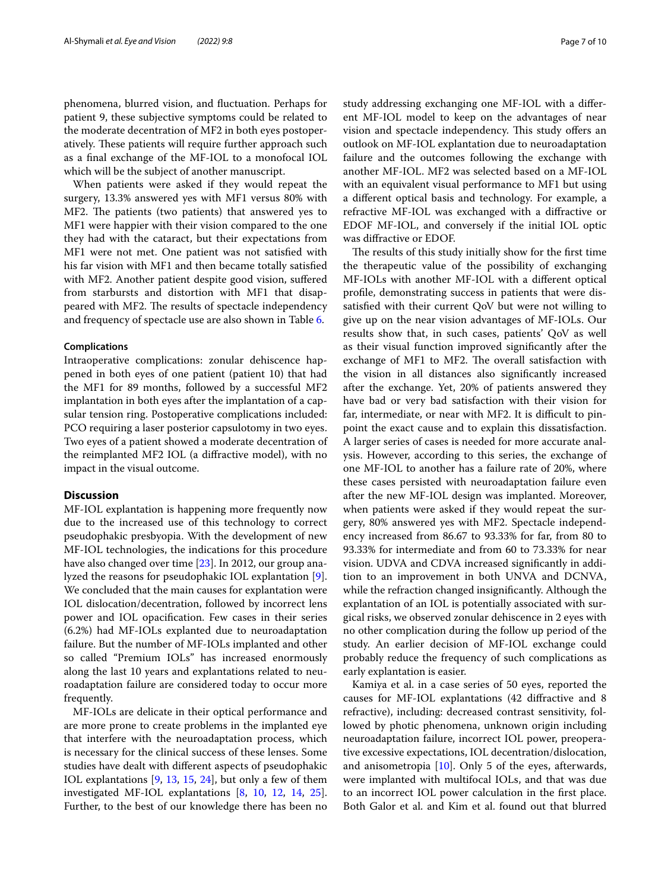phenomena, blurred vision, and fuctuation. Perhaps for patient 9, these subjective symptoms could be related to the moderate decentration of MF2 in both eyes postoperatively. These patients will require further approach such as a fnal exchange of the MF-IOL to a monofocal IOL which will be the subject of another manuscript.

When patients were asked if they would repeat the surgery, 13.3% answered yes with MF1 versus 80% with MF2. The patients (two patients) that answered yes to MF1 were happier with their vision compared to the one they had with the cataract, but their expectations from MF1 were not met. One patient was not satisfed with his far vision with MF1 and then became totally satisfed with MF2. Another patient despite good vision, sufered from starbursts and distortion with MF1 that disappeared with MF2. The results of spectacle independency and frequency of spectacle use are also shown in Table [6.](#page-5-0)

## **Complications**

Intraoperative complications: zonular dehiscence happened in both eyes of one patient (patient 10) that had the MF1 for 89 months, followed by a successful MF2 implantation in both eyes after the implantation of a capsular tension ring. Postoperative complications included: PCO requiring a laser posterior capsulotomy in two eyes. Two eyes of a patient showed a moderate decentration of the reimplanted MF2 IOL (a difractive model), with no impact in the visual outcome.

## **Discussion**

MF-IOL explantation is happening more frequently now due to the increased use of this technology to correct pseudophakic presbyopia. With the development of new MF-IOL technologies, the indications for this procedure have also changed over time [[23\]](#page-9-14). In 2012, our group analyzed the reasons for pseudophakic IOL explantation [\[9](#page-9-15)]. We concluded that the main causes for explantation were IOL dislocation/decentration, followed by incorrect lens power and IOL opacifcation. Few cases in their series (6.2%) had MF-IOLs explanted due to neuroadaptation failure. But the number of MF-IOLs implanted and other so called "Premium IOLs" has increased enormously along the last 10 years and explantations related to neuroadaptation failure are considered today to occur more frequently.

MF-IOLs are delicate in their optical performance and are more prone to create problems in the implanted eye that interfere with the neuroadaptation process, which is necessary for the clinical success of these lenses. Some studies have dealt with diferent aspects of pseudophakic IOL explantations [\[9](#page-9-15), [13](#page-9-16), [15](#page-9-6), [24](#page-9-17)], but only a few of them investigated MF-IOL explantations [[8,](#page-9-5) [10](#page-9-18), [12](#page-9-19), [14](#page-9-20), [25](#page-9-21)]. Further, to the best of our knowledge there has been no study addressing exchanging one MF-IOL with a diferent MF-IOL model to keep on the advantages of near vision and spectacle independency. This study offers an outlook on MF-IOL explantation due to neuroadaptation failure and the outcomes following the exchange with another MF-IOL. MF2 was selected based on a MF-IOL with an equivalent visual performance to MF1 but using a diferent optical basis and technology. For example, a refractive MF-IOL was exchanged with a difractive or EDOF MF-IOL, and conversely if the initial IOL optic was difractive or EDOF.

The results of this study initially show for the first time the therapeutic value of the possibility of exchanging MF-IOLs with another MF-IOL with a diferent optical profle, demonstrating success in patients that were dissatisfed with their current QoV but were not willing to give up on the near vision advantages of MF-IOLs. Our results show that, in such cases, patients' QoV as well as their visual function improved signifcantly after the exchange of MF1 to MF2. The overall satisfaction with the vision in all distances also signifcantly increased after the exchange. Yet, 20% of patients answered they have bad or very bad satisfaction with their vision for far, intermediate, or near with MF2. It is difficult to pinpoint the exact cause and to explain this dissatisfaction. A larger series of cases is needed for more accurate analysis. However, according to this series, the exchange of one MF-IOL to another has a failure rate of 20%, where these cases persisted with neuroadaptation failure even after the new MF-IOL design was implanted. Moreover, when patients were asked if they would repeat the surgery, 80% answered yes with MF2. Spectacle independency increased from 86.67 to 93.33% for far, from 80 to 93.33% for intermediate and from 60 to 73.33% for near vision. UDVA and CDVA increased signifcantly in addition to an improvement in both UNVA and DCNVA, while the refraction changed insignifcantly. Although the explantation of an IOL is potentially associated with surgical risks, we observed zonular dehiscence in 2 eyes with no other complication during the follow up period of the study. An earlier decision of MF-IOL exchange could probably reduce the frequency of such complications as early explantation is easier.

Kamiya et al. in a case series of 50 eyes, reported the causes for MF-IOL explantations (42 difractive and 8 refractive), including: decreased contrast sensitivity, followed by photic phenomena, unknown origin including neuroadaptation failure, incorrect IOL power, preoperative excessive expectations, IOL decentration/dislocation, and anisometropia  $[10]$  $[10]$ . Only 5 of the eyes, afterwards, were implanted with multifocal IOLs, and that was due to an incorrect IOL power calculation in the frst place. Both Galor et al. and Kim et al. found out that blurred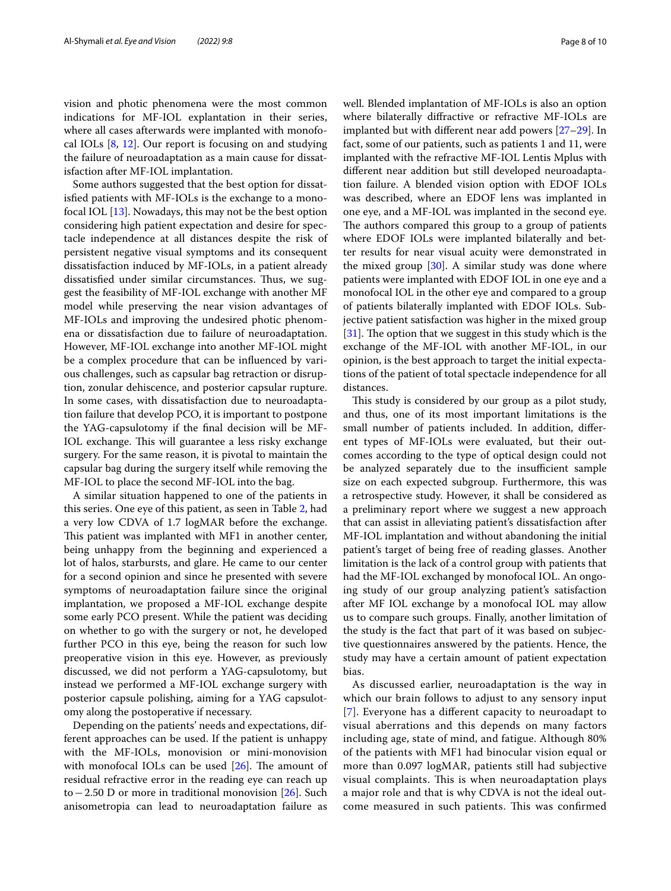vision and photic phenomena were the most common indications for MF-IOL explantation in their series, where all cases afterwards were implanted with monofocal IOLs  $[8, 12]$  $[8, 12]$  $[8, 12]$  $[8, 12]$ . Our report is focusing on and studying the failure of neuroadaptation as a main cause for dissatisfaction after MF-IOL implantation.

Some authors suggested that the best option for dissatisfed patients with MF-IOLs is the exchange to a monofocal IOL [[13](#page-9-16)]. Nowadays, this may not be the best option considering high patient expectation and desire for spectacle independence at all distances despite the risk of persistent negative visual symptoms and its consequent dissatisfaction induced by MF-IOLs, in a patient already dissatisfied under similar circumstances. Thus, we suggest the feasibility of MF-IOL exchange with another MF model while preserving the near vision advantages of MF-IOLs and improving the undesired photic phenomena or dissatisfaction due to failure of neuroadaptation. However, MF-IOL exchange into another MF-IOL might be a complex procedure that can be infuenced by various challenges, such as capsular bag retraction or disruption, zonular dehiscence, and posterior capsular rupture. In some cases, with dissatisfaction due to neuroadaptation failure that develop PCO, it is important to postpone the YAG-capsulotomy if the fnal decision will be MF-IOL exchange. This will guarantee a less risky exchange surgery. For the same reason, it is pivotal to maintain the capsular bag during the surgery itself while removing the MF-IOL to place the second MF-IOL into the bag.

A similar situation happened to one of the patients in this series. One eye of this patient, as seen in Table [2,](#page-3-0) had a very low CDVA of 1.7 logMAR before the exchange. This patient was implanted with MF1 in another center, being unhappy from the beginning and experienced a lot of halos, starbursts, and glare. He came to our center for a second opinion and since he presented with severe symptoms of neuroadaptation failure since the original implantation, we proposed a MF-IOL exchange despite some early PCO present. While the patient was deciding on whether to go with the surgery or not, he developed further PCO in this eye, being the reason for such low preoperative vision in this eye. However, as previously discussed, we did not perform a YAG-capsulotomy, but instead we performed a MF-IOL exchange surgery with posterior capsule polishing, aiming for a YAG capsulotomy along the postoperative if necessary.

Depending on the patients' needs and expectations, different approaches can be used. If the patient is unhappy with the MF-IOLs, monovision or mini-monovision with monofocal IOLs can be used  $[26]$  $[26]$  $[26]$ . The amount of residual refractive error in the reading eye can reach up to−2.50 D or more in traditional monovision [\[26](#page-9-22)]. Such anisometropia can lead to neuroadaptation failure as well. Blended implantation of MF-IOLs is also an option where bilaterally difractive or refractive MF-IOLs are implanted but with diferent near add powers [\[27](#page-9-23)[–29\]](#page-9-24). In fact, some of our patients, such as patients 1 and 11, were implanted with the refractive MF-IOL Lentis Mplus with diferent near addition but still developed neuroadaptation failure. A blended vision option with EDOF IOLs was described, where an EDOF lens was implanted in one eye, and a MF-IOL was implanted in the second eye. The authors compared this group to a group of patients where EDOF IOLs were implanted bilaterally and better results for near visual acuity were demonstrated in the mixed group  $[30]$  $[30]$ . A similar study was done where patients were implanted with EDOF IOL in one eye and a monofocal IOL in the other eye and compared to a group of patients bilaterally implanted with EDOF IOLs. Subjective patient satisfaction was higher in the mixed group  $[31]$  $[31]$ . The option that we suggest in this study which is the exchange of the MF-IOL with another MF-IOL, in our opinion, is the best approach to target the initial expectations of the patient of total spectacle independence for all distances.

This study is considered by our group as a pilot study, and thus, one of its most important limitations is the small number of patients included. In addition, diferent types of MF-IOLs were evaluated, but their outcomes according to the type of optical design could not be analyzed separately due to the insufficient sample size on each expected subgroup. Furthermore, this was a retrospective study. However, it shall be considered as a preliminary report where we suggest a new approach that can assist in alleviating patient's dissatisfaction after MF-IOL implantation and without abandoning the initial patient's target of being free of reading glasses. Another limitation is the lack of a control group with patients that had the MF-IOL exchanged by monofocal IOL. An ongoing study of our group analyzing patient's satisfaction after MF IOL exchange by a monofocal IOL may allow us to compare such groups. Finally, another limitation of the study is the fact that part of it was based on subjective questionnaires answered by the patients. Hence, the study may have a certain amount of patient expectation bias.

As discussed earlier, neuroadaptation is the way in which our brain follows to adjust to any sensory input [[7](#page-9-4)]. Everyone has a diferent capacity to neuroadapt to visual aberrations and this depends on many factors including age, state of mind, and fatigue. Although 80% of the patients with MF1 had binocular vision equal or more than 0.097 logMAR, patients still had subjective visual complaints. This is when neuroadaptation plays a major role and that is why CDVA is not the ideal outcome measured in such patients. This was confirmed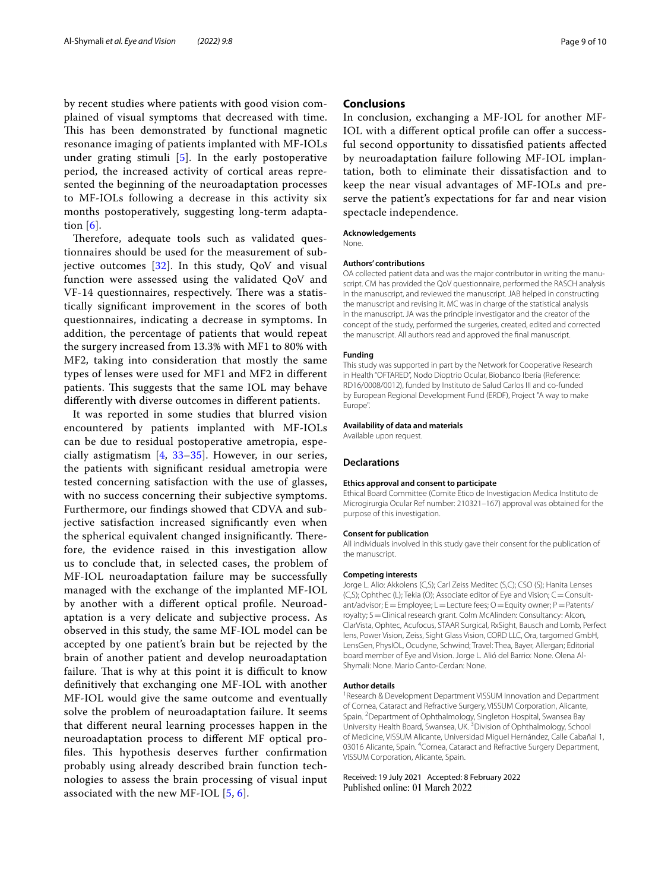by recent studies where patients with good vision complained of visual symptoms that decreased with time. This has been demonstrated by functional magnetic resonance imaging of patients implanted with MF-IOLs under grating stimuli [\[5](#page-9-2)]. In the early postoperative period, the increased activity of cortical areas represented the beginning of the neuroadaptation processes to MF-IOLs following a decrease in this activity six months postoperatively, suggesting long-term adaptation  $[6]$ .

Therefore, adequate tools such as validated questionnaires should be used for the measurement of subjective outcomes  $[32]$  $[32]$ . In this study, QoV and visual function were assessed using the validated QoV and VF-14 questionnaires, respectively. There was a statistically signifcant improvement in the scores of both questionnaires, indicating a decrease in symptoms. In addition, the percentage of patients that would repeat the surgery increased from 13.3% with MF1 to 80% with MF2, taking into consideration that mostly the same types of lenses were used for MF1 and MF2 in diferent patients. This suggests that the same IOL may behave diferently with diverse outcomes in diferent patients.

It was reported in some studies that blurred vision encountered by patients implanted with MF-IOLs can be due to residual postoperative ametropia, especially astigmatism [\[4,](#page-9-1) [33](#page-9-28)[–35](#page-9-29)]. However, in our series, the patients with signifcant residual ametropia were tested concerning satisfaction with the use of glasses, with no success concerning their subjective symptoms. Furthermore, our fndings showed that CDVA and subjective satisfaction increased signifcantly even when the spherical equivalent changed insignificantly. Therefore, the evidence raised in this investigation allow us to conclude that, in selected cases, the problem of MF-IOL neuroadaptation failure may be successfully managed with the exchange of the implanted MF-IOL by another with a diferent optical profle. Neuroadaptation is a very delicate and subjective process. As observed in this study, the same MF-IOL model can be accepted by one patient's brain but be rejected by the brain of another patient and develop neuroadaptation failure. That is why at this point it is difficult to know defnitively that exchanging one MF-IOL with another MF-IOL would give the same outcome and eventually solve the problem of neuroadaptation failure. It seems that diferent neural learning processes happen in the neuroadaptation process to diferent MF optical profiles. This hypothesis deserves further confirmation probably using already described brain function technologies to assess the brain processing of visual input associated with the new MF-IOL [[5,](#page-9-2) [6\]](#page-9-3).

# **Conclusions**

In conclusion, exchanging a MF-IOL for another MF-IOL with a different optical profile can offer a successful second opportunity to dissatisfed patients afected by neuroadaptation failure following MF-IOL implantation, both to eliminate their dissatisfaction and to keep the near visual advantages of MF-IOLs and preserve the patient's expectations for far and near vision spectacle independence.

#### **Acknowledgements**

None.

#### **Authors' contributions**

OA collected patient data and was the major contributor in writing the manuscript. CM has provided the QoV questionnaire, performed the RASCH analysis in the manuscript, and reviewed the manuscript. JAB helped in constructing the manuscript and revising it. MC was in charge of the statistical analysis in the manuscript. JA was the principle investigator and the creator of the concept of the study, performed the surgeries, created, edited and corrected the manuscript. All authors read and approved the fnal manuscript.

#### **Funding**

This study was supported in part by the Network for Cooperative Research in Health "OFTARED", Nodo Dioptrio Ocular, Biobanco Iberia (Reference: RD16/0008/0012), funded by Instituto de Salud Carlos III and co-funded by European Regional Development Fund (ERDF), Project "A way to make Europe".

#### **Availability of data and materials**

Available upon request.

#### **Declarations**

#### **Ethics approval and consent to participate**

Ethical Board Committee (Comite Etico de Investigacion Medica Instituto de Microgirurgia Ocular Ref number: 210321–167) approval was obtained for the purpose of this investigation.

## **Consent for publication**

All individuals involved in this study gave their consent for the publication of the manuscript.

#### **Competing interests**

Jorge L. Alio: Akkolens (C,S); Carl Zeiss Meditec (S,C); CSO (S); Hanita Lenses (C,S); Ophthec (L); Tekia (O); Associate editor of Eye and Vision; C = Consultant/advisor; E=Employee; L=Lecture fees; O=Equity owner; P=Patents/ royalty; S=Clinical research grant. Colm McAlinden: Consultancy: Alcon, ClarVista, Ophtec, Acufocus, STAAR Surgical, RxSight, Bausch and Lomb, Perfect lens, Power Vision, Zeiss, Sight Glass Vision, CORD LLC, Ora, targomed GmbH, LensGen, PhysIOL, Ocudyne, Schwind; Travel: Thea, Bayer, Allergan; Editorial board member of Eye and Vision. Jorge L. Alió del Barrio: None. Olena Al-Shymali: None. Mario Canto-Cerdan: None.

#### **Author details**

<sup>1</sup> Research & Development Department VISSUM Innovation and Department of Cornea, Cataract and Refractive Surgery, VISSUM Corporation, Alicante, Spain. <sup>2</sup> Department of Ophthalmology, Singleton Hospital, Swansea Bay University Health Board, Swansea, UK.<sup>3</sup> Division of Ophthalmology, School of Medicine, VISSUM Alicante, Universidad Miguel Hernández, Calle Cabañal 1, 03016 Alicante, Spain. <sup>4</sup> Cornea, Cataract and Refractive Surgery Department, VISSUM Corporation, Alicante, Spain.

#### Received: 19 July 2021 Accepted: 8 February 2022Published online: 01 March 2022